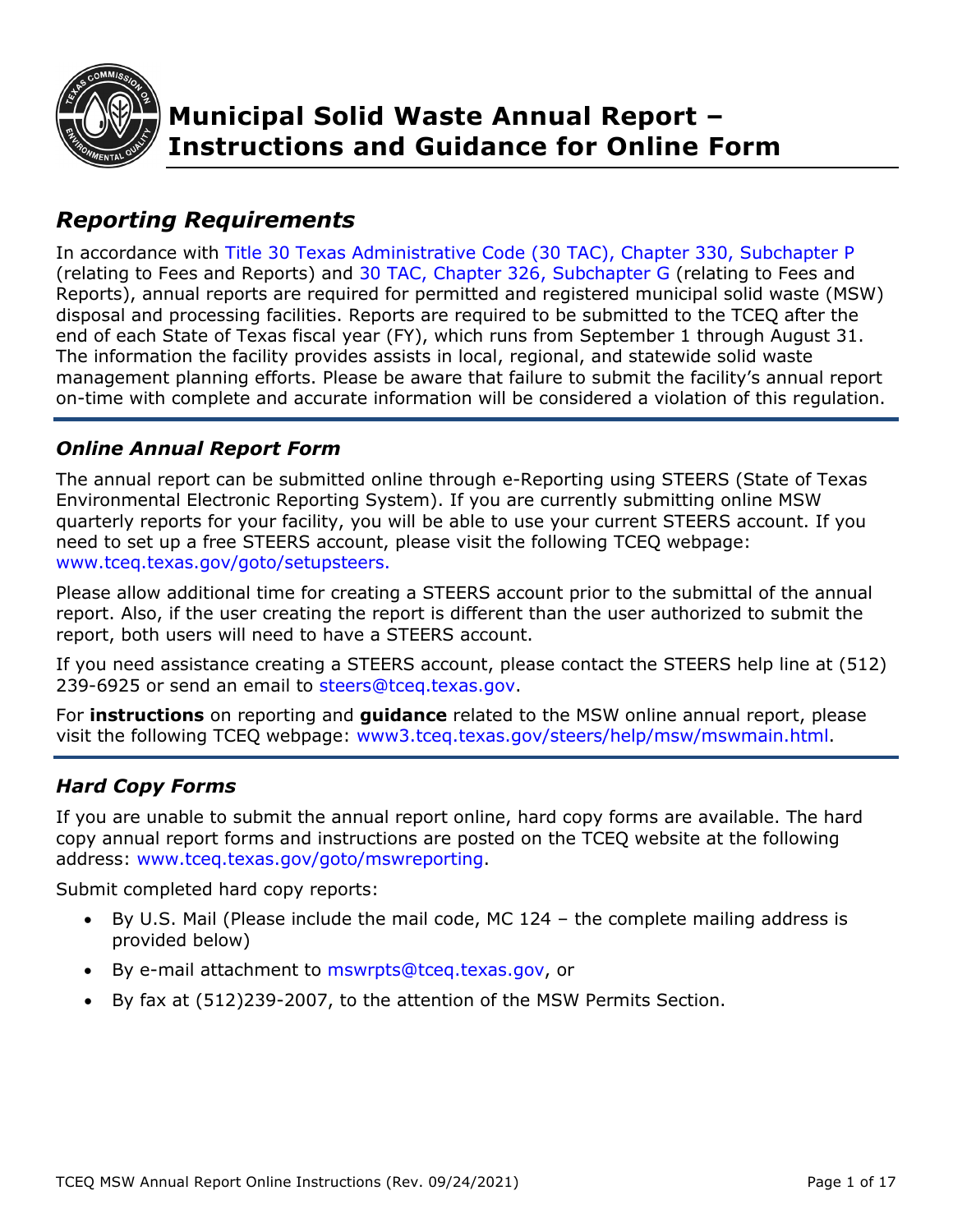

# *Reporting Requirements*

In accordance with [Title 30 Texas Administrative Code \(30 TAC\), Chapter 330, Subchapter P](http://texreg.sos.state.tx.us/public/readtac$ext.ViewTAC?tac_view=5&ti=30&pt=1&ch=330&sch=P&rl=Y) (relating to Fees and Reports) and [30 TAC, Chapter 326, Subchapter G](https://texreg.sos.state.tx.us/public/readtac$ext.ViewTAC?tac_view=5&ti=30&pt=1&ch=326&sch=G&rl=Y) (relating to Fees and Reports), annual reports are required for permitted and registered municipal solid waste (MSW) disposal and processing facilities. Reports are required to be submitted to the TCEQ after the end of each State of Texas fiscal year (FY), which runs from September 1 through August 31. The information the facility provides assists in local, regional, and statewide solid waste management planning efforts. Please be aware that failure to submit the facility's annual report on-time with complete and accurate information will be considered a violation of this regulation.

## *Online Annual Report Form*

The annual report can be submitted online through e-Reporting using STEERS (State of Texas Environmental Electronic Reporting System). If you are currently submitting online MSW quarterly reports for your facility, you will be able to use your current STEERS account. If you need to set up a free STEERS account, please visit the following TCEQ webpage: [www.tceq.texas.gov/goto/setupsteers.](http://www.tceq.texas.gov/goto/setupsteers)

Please allow additional time for creating a STEERS account prior to the submittal of the annual report. Also, if the user creating the report is different than the user authorized to submit the report, both users will need to have a STEERS account.

If you need assistance creating a STEERS account, please contact the STEERS help line at (512) 239-6925 or send an email to [steers@tceq.texas.gov.](mailto:steers@tceq.texas.gov)

For **instructions** on reporting and **guidance** related to the MSW online annual report, please visit the following TCEQ webpage: [www3.tceq.texas.gov/steers/help/msw/mswmain.html.](https://www3.tceq.texas.gov/steers/help/msw/mswmain.html)

## *Hard Copy Forms*

If you are unable to submit the annual report online, hard copy forms are available. The hard copy annual report forms and instructions are posted on the TCEQ website at the following address: [www.tceq.texas.gov/goto/mswreporting.](http://www.tceq.texas.gov/goto/mswreporting)

Submit completed hard copy reports:

- By U.S. Mail (Please include the mail code, MC 124 the complete mailing address is provided below)
- By e-mail attachment to [mswrpts@tceq.texas.gov,](mailto:mswrpts@tceq.texas.gov,) or
- By fax at (512)239-2007, to the attention of the MSW Permits Section.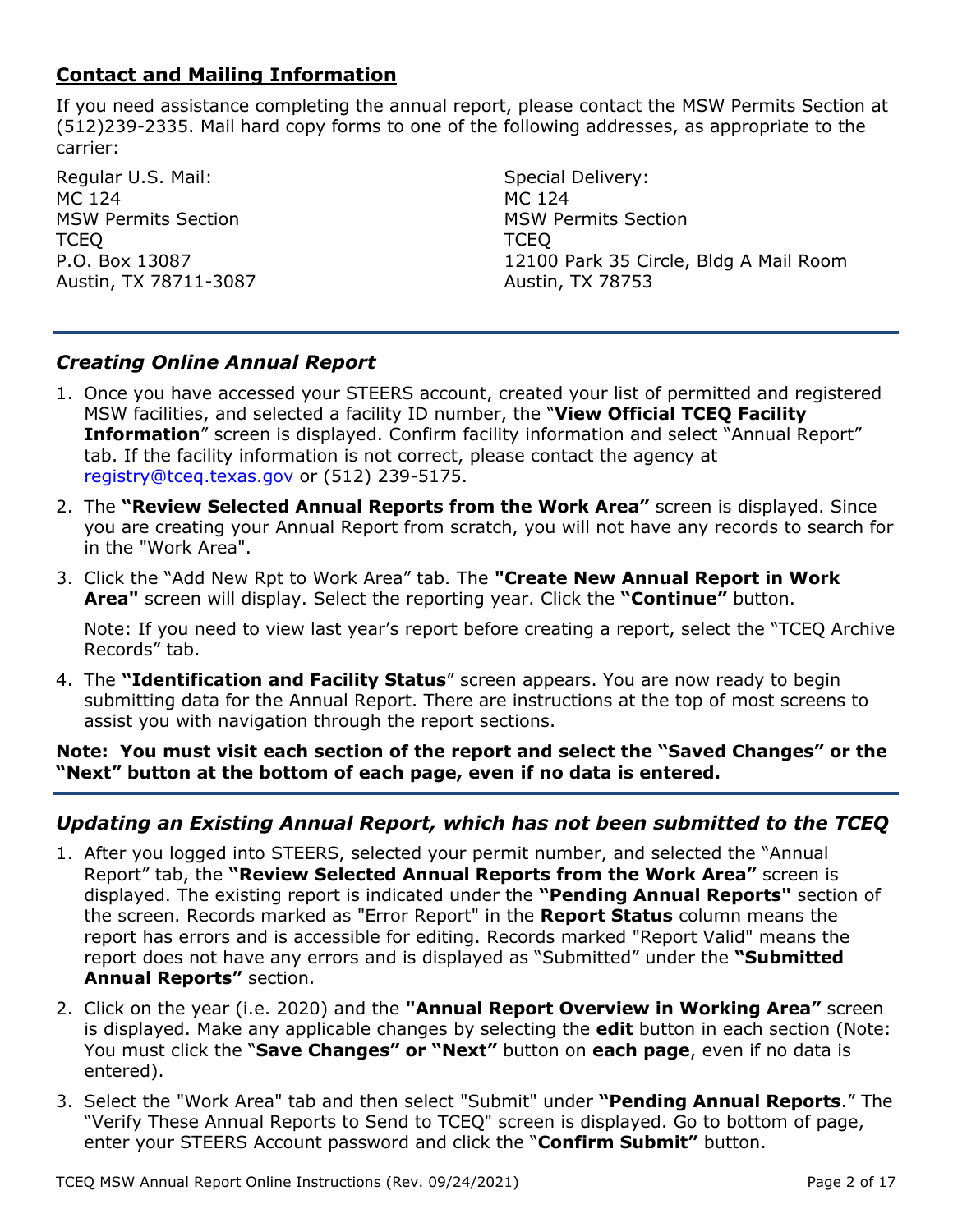## **Contact and Mailing Information**

If you need assistance completing the annual report, please contact the MSW Permits Section at (512)239-2335. Mail hard copy forms to one of the following addresses, as appropriate to the carrier:

Regular U.S. Mail: MC 124 MSW Permits Section **TCEQ** P.O. Box 13087 Austin, TX 78711-3087

Special Delivery: MC 124 MSW Permits Section **TCEQ** 12100 Park 35 Circle, Bldg A Mail Room Austin, TX 78753

## *Creating Online Annual Report*

- 1. Once you have accessed your STEERS account, created your list of permitted and registered MSW facilities, and selected a facility ID number, the "**View Official TCEQ Facility Information**" screen is displayed. Confirm facility information and select "Annual Report" tab. If the facility information is not correct, please contact the agency at [registry@tceq.texas.gov](mailto:registry@tceq.texas.gov) or (512) 239-5175.
- 2. The **"Review Selected Annual Reports from the Work Area"** screen is displayed. Since you are creating your Annual Report from scratch, you will not have any records to search for in the "Work Area".
- 3. Click the "Add New Rpt to Work Area" tab. The **"Create New Annual Report in Work Area"** screen will display. Select the reporting year. Click the **"Continue"** button.

Note: If you need to view last year's report before creating a report, select the "TCEQ Archive Records" tab.

4. The **"Identification and Facility Status**" screen appears. You are now ready to begin submitting data for the Annual Report. There are instructions at the top of most screens to assist you with navigation through the report sections.

#### **Note: You must visit each section of the report and select the "Saved Changes" or the "Next" button at the bottom of each page, even if no data is entered.**

## *Updating an Existing Annual Report, which has not been submitted to the TCEQ*

- 1. After you logged into STEERS, selected your permit number, and selected the "Annual Report" tab, the **"Review Selected Annual Reports from the Work Area"** screen is displayed. The existing report is indicated under the **"Pending Annual Reports"** section of the screen. Records marked as "Error Report" in the **Report Status** column means the report has errors and is accessible for editing. Records marked "Report Valid" means the report does not have any errors and is displayed as "Submitted" under the **"Submitted Annual Reports"** section.
- 2. Click on the year (i.e. 2020) and the **"Annual Report Overview in Working Area"** screen is displayed. Make any applicable changes by selecting the **edit** button in each section (Note: You must click the "**Save Changes" or "Next"** button on **each page**, even if no data is entered).
- 3. Select the "Work Area" tab and then select "Submit" under **"Pending Annual Reports**." The "Verify These Annual Reports to Send to TCEQ" screen is displayed. Go to bottom of page, enter your STEERS Account password and click the "**Confirm Submit"** button.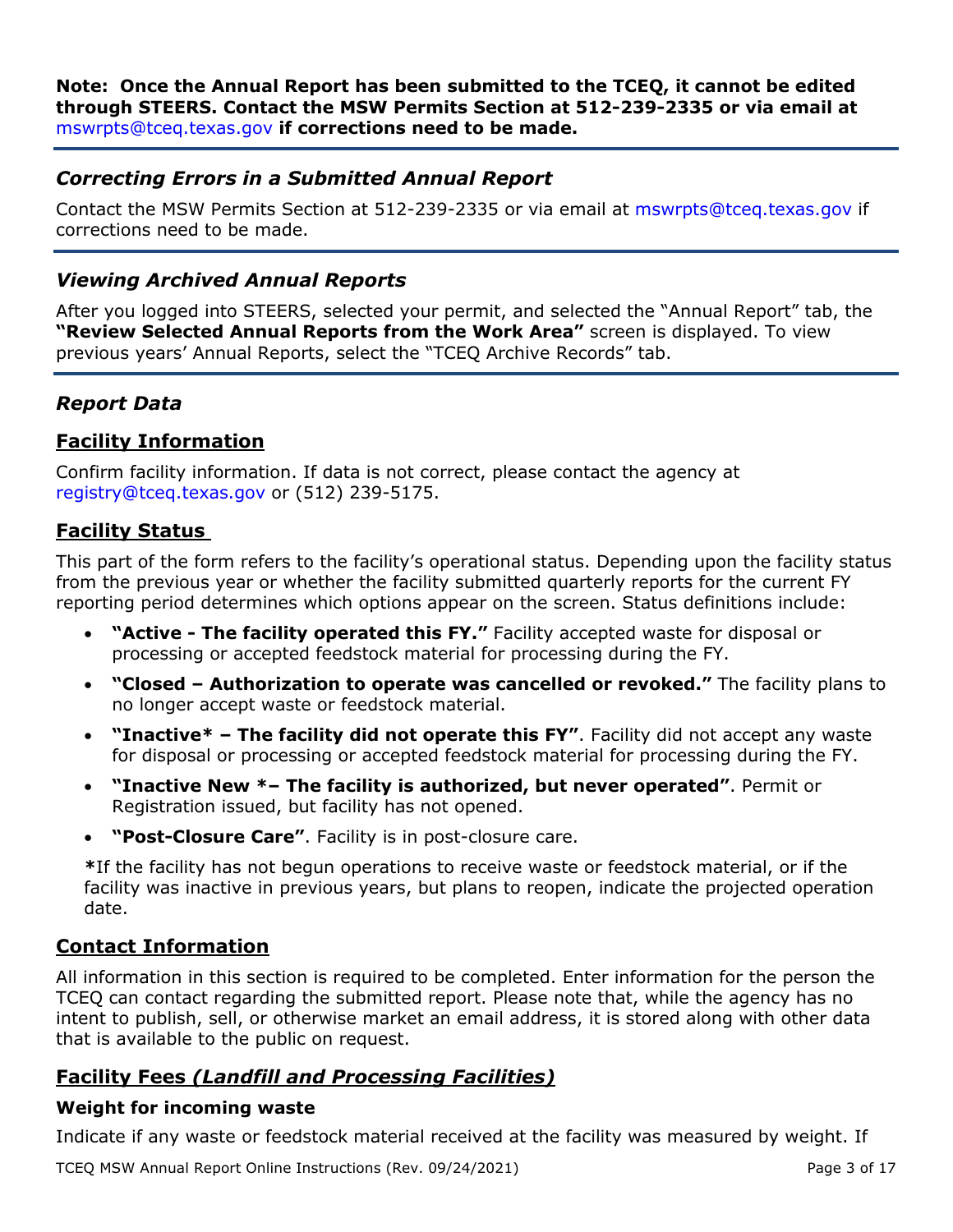**Note: Once the Annual Report has been submitted to the TCEQ, it cannot be edited through STEERS. Contact the MSW Permits Section at 512-239-2335 or via email at**  [mswrpts@tceq.texas.gov](mailto:mswrpts@tceq.texas.gov) **if corrections need to be made.** 

## *Correcting Errors in a Submitted Annual Report*

Contact the MSW Permits Section at 512-239-2335 or via email at [mswrpts@tceq.texas.gov](mailto:diane.barnes@tceq.texas.gov) if corrections need to be made.

## *Viewing Archived Annual Reports*

After you logged into STEERS, selected your permit, and selected the "Annual Report" tab, the **"Review Selected Annual Reports from the Work Area"** screen is displayed. To view previous years' Annual Reports, select the "TCEQ Archive Records" tab.

## *Report Data*

## **Facility Information**

Confirm facility information. If data is not correct, please contact the agency at [registry@tceq.texas.gov](mailto:registry@tceq.texas.gov) or (512) 239-5175.

## **Facility Status**

This part of the form refers to the facility's operational status. Depending upon the facility status from the previous year or whether the facility submitted quarterly reports for the current FY reporting period determines which options appear on the screen. Status definitions include:

- **"Active The facility operated this FY."** Facility accepted waste for disposal or processing or accepted feedstock material for processing during the FY.
- **"Closed Authorization to operate was cancelled or revoked."** The facility plans to no longer accept waste or feedstock material.
- **"Inactive\* The facility did not operate this FY"**. Facility did not accept any waste for disposal or processing or accepted feedstock material for processing during the FY.
- **"Inactive New \*– The facility is authorized, but never operated"**. Permit or Registration issued, but facility has not opened.
- **"Post-Closure Care"**. Facility is in post-closure care.

**\***If the facility has not begun operations to receive waste or feedstock material, or if the facility was inactive in previous years, but plans to reopen, indicate the projected operation date.

## **Contact Information**

All information in this section is required to be completed. Enter information for the person the TCEQ can contact regarding the submitted report. Please note that, while the agency has no intent to publish, sell, or otherwise market an email address, it is stored along with other data that is available to the public on request.

## **Facility Fees** *(Landfill and Processing Facilities)*

### **Weight for incoming waste**

Indicate if any waste or feedstock material received at the facility was measured by weight. If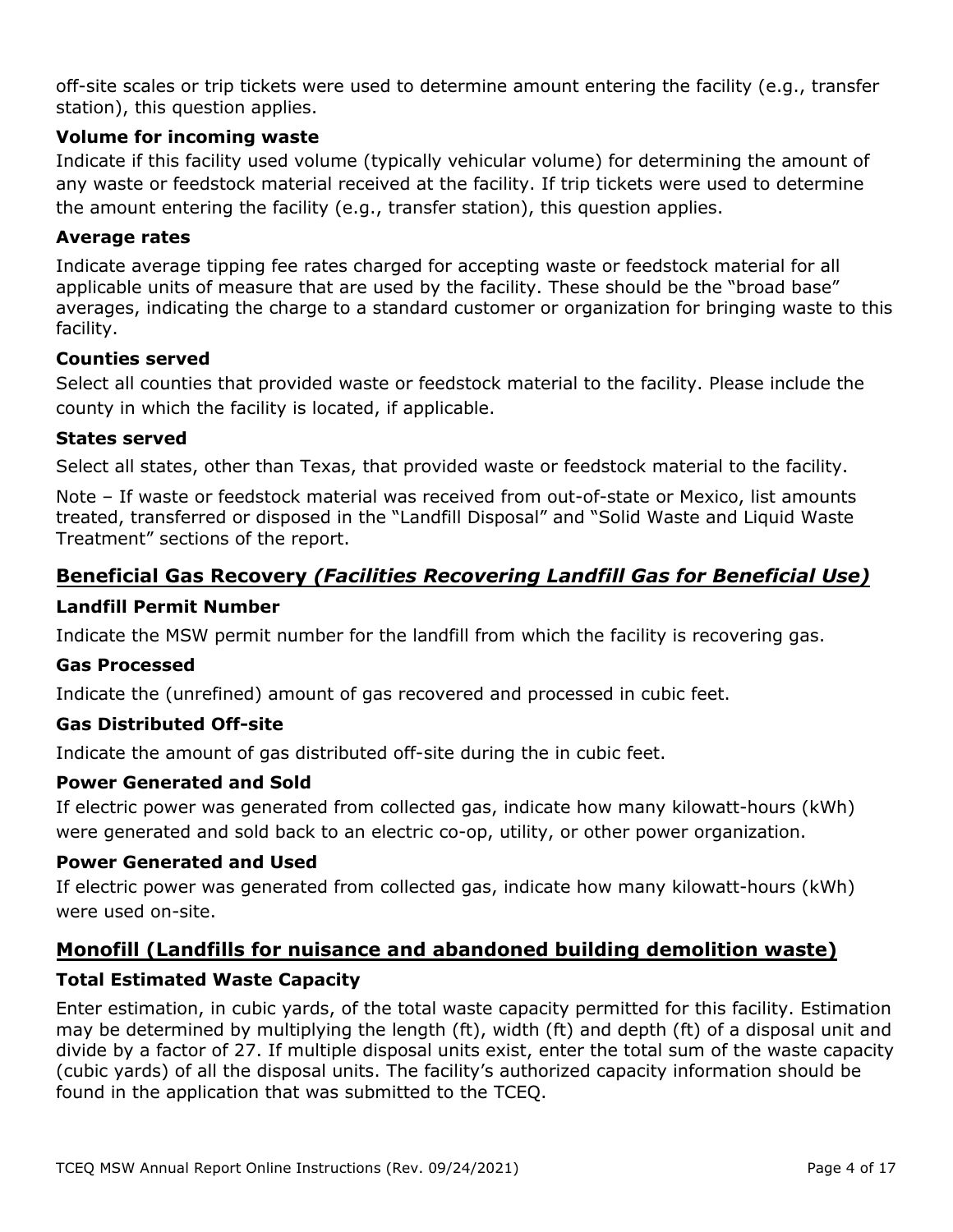off-site scales or trip tickets were used to determine amount entering the facility (e.g., transfer station), this question applies.

### **Volume for incoming waste**

Indicate if this facility used volume (typically vehicular volume) for determining the amount of any waste or feedstock material received at the facility. If trip tickets were used to determine the amount entering the facility (e.g., transfer station), this question applies.

### **Average rates**

Indicate average tipping fee rates charged for accepting waste or feedstock material for all applicable units of measure that are used by the facility. These should be the "broad base" averages, indicating the charge to a standard customer or organization for bringing waste to this facility.

### **Counties served**

Select all counties that provided waste or feedstock material to the facility. Please include the county in which the facility is located, if applicable.

### **States served**

Select all states, other than Texas, that provided waste or feedstock material to the facility.

Note – If waste or feedstock material was received from out-of-state or Mexico, list amounts treated, transferred or disposed in the "Landfill Disposal" and "Solid Waste and Liquid Waste Treatment" sections of the report.

## **Beneficial Gas Recovery** *(Facilities Recovering Landfill Gas for Beneficial Use)*

### **Landfill Permit Number**

Indicate the MSW permit number for the landfill from which the facility is recovering gas.

### **Gas Processed**

Indicate the (unrefined) amount of gas recovered and processed in cubic feet.

## **Gas Distributed Off-site**

Indicate the amount of gas distributed off-site during the in cubic feet.

## **Power Generated and Sold**

If electric power was generated from collected gas, indicate how many kilowatt-hours (kWh) were generated and sold back to an electric co-op, utility, or other power organization.

### **Power Generated and Used**

If electric power was generated from collected gas, indicate how many kilowatt-hours (kWh) were used on-site.

## **Monofill (Landfills for nuisance and abandoned building demolition waste) Total Estimated Waste Capacity**

Enter estimation, in cubic yards, of the total waste capacity permitted for this facility. Estimation may be determined by multiplying the length (ft), width (ft) and depth (ft) of a disposal unit and divide by a factor of 27. If multiple disposal units exist, enter the total sum of the waste capacity (cubic yards) of all the disposal units. The facility's authorized capacity information should be found in the application that was submitted to the TCEQ.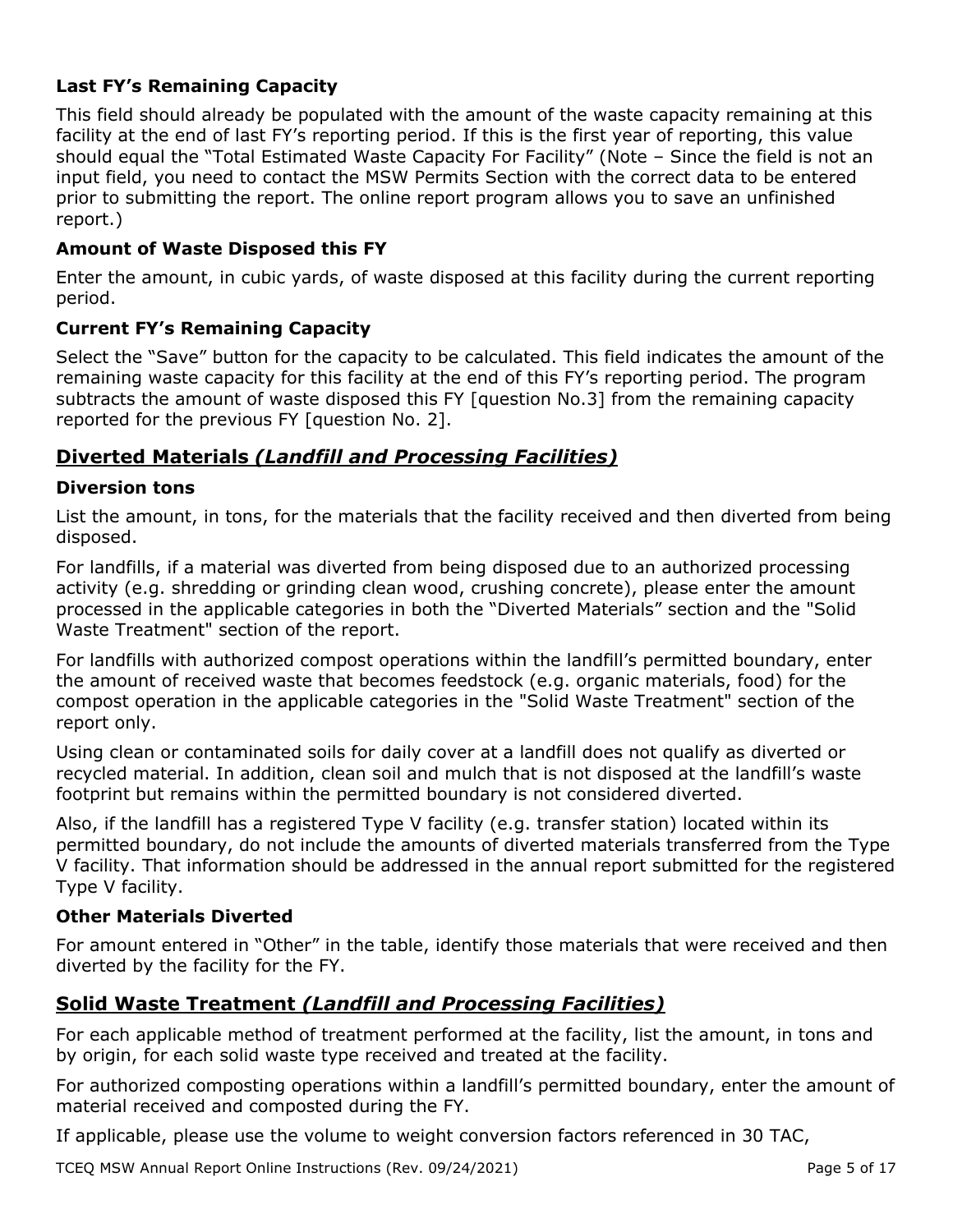## **Last FY's Remaining Capacity**

This field should already be populated with the amount of the waste capacity remaining at this facility at the end of last FY's reporting period. If this is the first year of reporting, this value should equal the "Total Estimated Waste Capacity For Facility" (Note – Since the field is not an input field, you need to contact the MSW Permits Section with the correct data to be entered prior to submitting the report. The online report program allows you to save an unfinished report.)

## **Amount of Waste Disposed this FY**

Enter the amount, in cubic yards, of waste disposed at this facility during the current reporting period.

### **Current FY's Remaining Capacity**

Select the "Save" button for the capacity to be calculated. This field indicates the amount of the remaining waste capacity for this facility at the end of this FY's reporting period. The program subtracts the amount of waste disposed this FY [question No.3] from the remaining capacity reported for the previous FY [question No. 2].

## **Diverted Materials** *(Landfill and Processing Facilities)*

### **Diversion tons**

List the amount, in tons, for the materials that the facility received and then diverted from being disposed.

For landfills, if a material was diverted from being disposed due to an authorized processing activity (e.g. shredding or grinding clean wood, crushing concrete), please enter the amount processed in the applicable categories in both the "Diverted Materials" section and the "Solid Waste Treatment" section of the report.

For landfills with authorized compost operations within the landfill's permitted boundary, enter the amount of received waste that becomes feedstock (e.g. organic materials, food) for the compost operation in the applicable categories in the "Solid Waste Treatment" section of the report only.

Using clean or contaminated soils for daily cover at a landfill does not qualify as diverted or recycled material. In addition, clean soil and mulch that is not disposed at the landfill's waste footprint but remains within the permitted boundary is not considered diverted.

Also, if the landfill has a registered Type V facility (e.g. transfer station) located within its permitted boundary, do not include the amounts of diverted materials transferred from the Type V facility. That information should be addressed in the annual report submitted for the registered Type V facility.

### **Other Materials Diverted**

For amount entered in "Other" in the table, identify those materials that were received and then diverted by the facility for the FY.

## **Solid Waste Treatment** *(Landfill and Processing Facilities)*

For each applicable method of treatment performed at the facility, list the amount, in tons and by origin, for each solid waste type received and treated at the facility.

For authorized composting operations within a landfill's permitted boundary, enter the amount of material received and composted during the FY.

If applicable, please use the volume to weight conversion factors referenced in 30 TAC,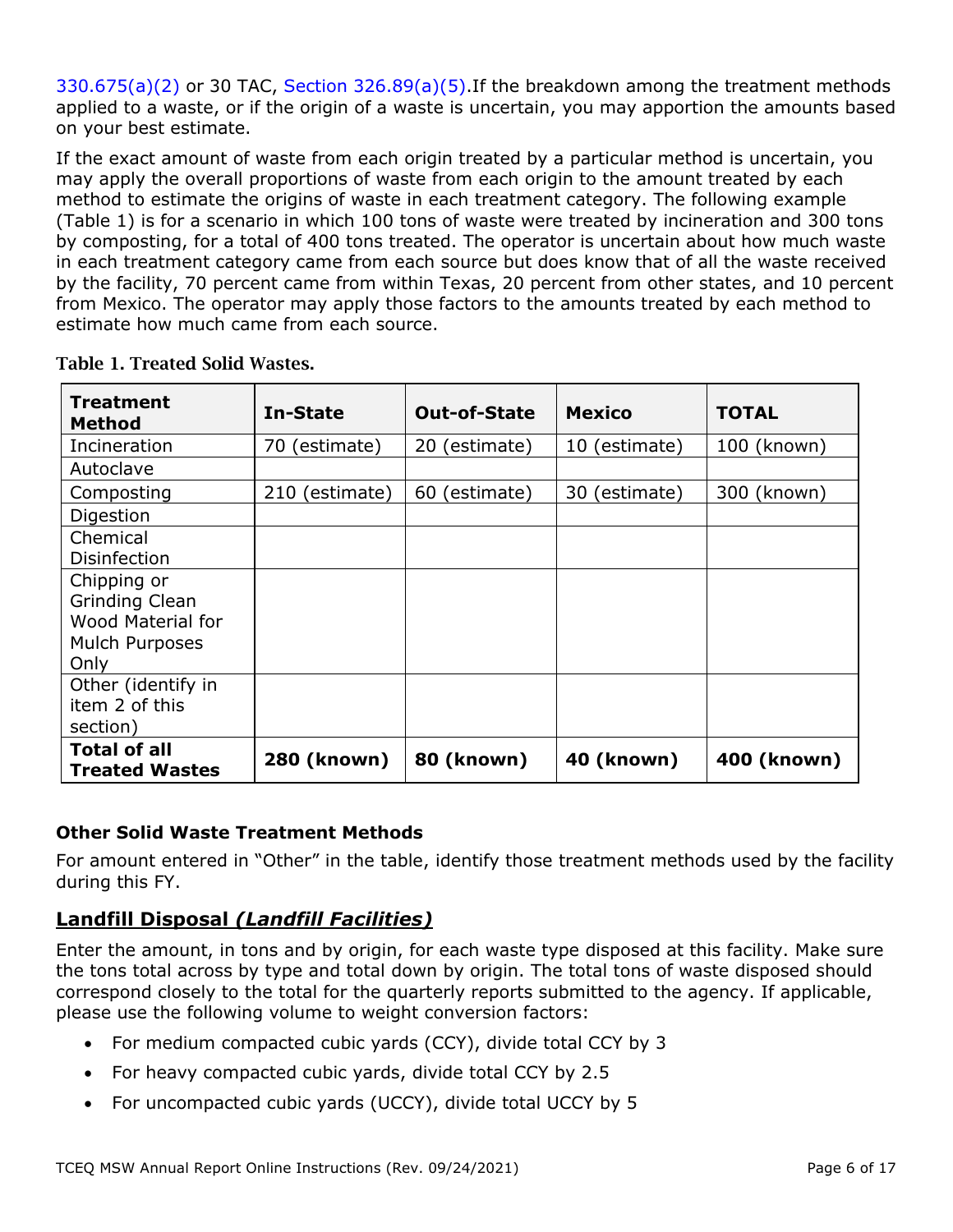$330.675(a)(2)$  or 30 TAC, Section  $326.89(a)(5)$ . If the breakdown among the treatment methods applied to a waste, or if the origin of a waste is uncertain, you may apportion the amounts based on your best estimate.

If the exact amount of waste from each origin treated by a particular method is uncertain, you may apply the overall proportions of waste from each origin to the amount treated by each method to estimate the origins of waste in each treatment category. The following example (Table 1) is for a scenario in which 100 tons of waste were treated by incineration and 300 tons by composting, for a total of 400 tons treated. The operator is uncertain about how much waste in each treatment category came from each source but does know that of all the waste received by the facility, 70 percent came from within Texas, 20 percent from other states, and 10 percent from Mexico. The operator may apply those factors to the amounts treated by each method to estimate how much came from each source.

| Treatment<br>Method                          | In-State       | <b>Out-of-State</b> | <b>Mexico</b> | <b>TOTAL</b> |
|----------------------------------------------|----------------|---------------------|---------------|--------------|
| Incineration                                 | 70 (estimate)  | 20 (estimate)       | 10 (estimate) | 100 (known)  |
| Autoclave                                    |                |                     |               |              |
| Composting                                   | 210 (estimate) | 60 (estimate)       | 30 (estimate) | 300 (known)  |
| Digestion                                    |                |                     |               |              |
| Chemical                                     |                |                     |               |              |
| <b>Disinfection</b>                          |                |                     |               |              |
| Chipping or                                  |                |                     |               |              |
| <b>Grinding Clean</b>                        |                |                     |               |              |
| <b>Wood Material for</b>                     |                |                     |               |              |
| Mulch Purposes                               |                |                     |               |              |
| Only                                         |                |                     |               |              |
| Other (identify in                           |                |                     |               |              |
| item 2 of this                               |                |                     |               |              |
| section)                                     |                |                     |               |              |
| <b>Total of all</b><br><b>Treated Wastes</b> | 280 (known)    | 80 (known)          | 40 (known)    | 400 (known)  |

Table 1. Treated Solid Wastes.

## **Other Solid Waste Treatment Methods**

For amount entered in "Other" in the table, identify those treatment methods used by the facility during this FY.

## **Landfill Disposal** *(Landfill Facilities)*

Enter the amount, in tons and by origin, for each waste type disposed at this facility. Make sure the tons total across by type and total down by origin. The total tons of waste disposed should correspond closely to the total for the quarterly reports submitted to the agency. If applicable, please use the following volume to weight conversion factors:

- For medium compacted cubic yards (CCY), divide total CCY by 3
- For heavy compacted cubic yards, divide total CCY by 2.5
- For uncompacted cubic yards (UCCY), divide total UCCY by 5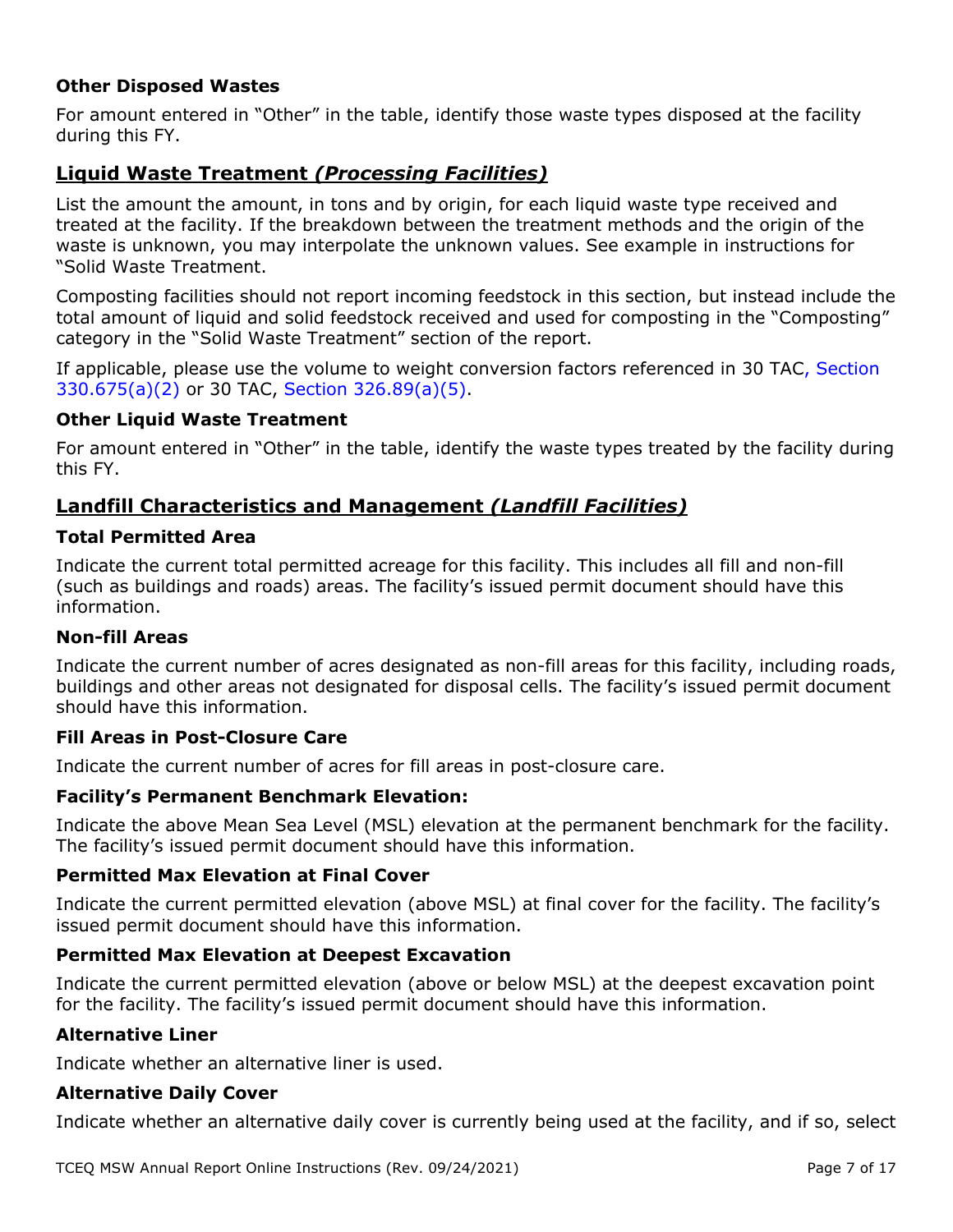### **Other Disposed Wastes**

For amount entered in "Other" in the table, identify those waste types disposed at the facility during this FY.

## **Liquid Waste Treatment** *(Processing Facilities)*

List the amount the amount, in tons and by origin, for each liquid waste type received and treated at the facility. If the breakdown between the treatment methods and the origin of the waste is unknown, you may interpolate the unknown values. See example in instructions for "Solid Waste Treatment.

Composting facilities should not report incoming feedstock in this section, but instead include the total amount of liquid and solid feedstock received and used for composting in the "Composting" category in the "Solid Waste Treatment" section of the report.

If applicable, please use the volume to weight conversion factors referenced in [30 TAC, Section](http://texreg.sos.state.tx.us/public/readtac$ext.TacPage?sl=R&app=9&p_dir=&p_rloc=&p_tloc=&p_ploc=&pg=1&p_tac=&ti=30&pt=1&ch=330&rl=675)  [330.675\(a\)\(2\)](http://texreg.sos.state.tx.us/public/readtac$ext.TacPage?sl=R&app=9&p_dir=&p_rloc=&p_tloc=&p_ploc=&pg=1&p_tac=&ti=30&pt=1&ch=330&rl=675) or 30 TAC, [Section 326.89\(a\)\(5\).](https://texreg.sos.state.tx.us/public/readtac$ext.TacPage?sl=R&app=9&p_dir=&p_rloc=&p_tloc=&p_ploc=&pg=1&p_tac=&ti=30&pt=1&ch=326&rl=89)

#### **Other Liquid Waste Treatment**

For amount entered in "Other" in the table, identify the waste types treated by the facility during this FY.

## **Landfill Characteristics and Management** *(Landfill Facilities)*

#### **Total Permitted Area**

Indicate the current total permitted acreage for this facility. This includes all fill and non-fill (such as buildings and roads) areas. The facility's issued permit document should have this information.

#### **Non-fill Areas**

Indicate the current number of acres designated as non-fill areas for this facility, including roads, buildings and other areas not designated for disposal cells. The facility's issued permit document should have this information.

#### **Fill Areas in Post-Closure Care**

Indicate the current number of acres for fill areas in post-closure care.

#### **Facility's Permanent Benchmark Elevation:**

Indicate the above Mean Sea Level (MSL) elevation at the permanent benchmark for the facility. The facility's issued permit document should have this information.

#### **Permitted Max Elevation at Final Cover**

Indicate the current permitted elevation (above MSL) at final cover for the facility. The facility's issued permit document should have this information.

### **Permitted Max Elevation at Deepest Excavation**

Indicate the current permitted elevation (above or below MSL) at the deepest excavation point for the facility. The facility's issued permit document should have this information.

#### **Alternative Liner**

Indicate whether an alternative liner is used.

#### **Alternative Daily Cover**

Indicate whether an alternative daily cover is currently being used at the facility, and if so, select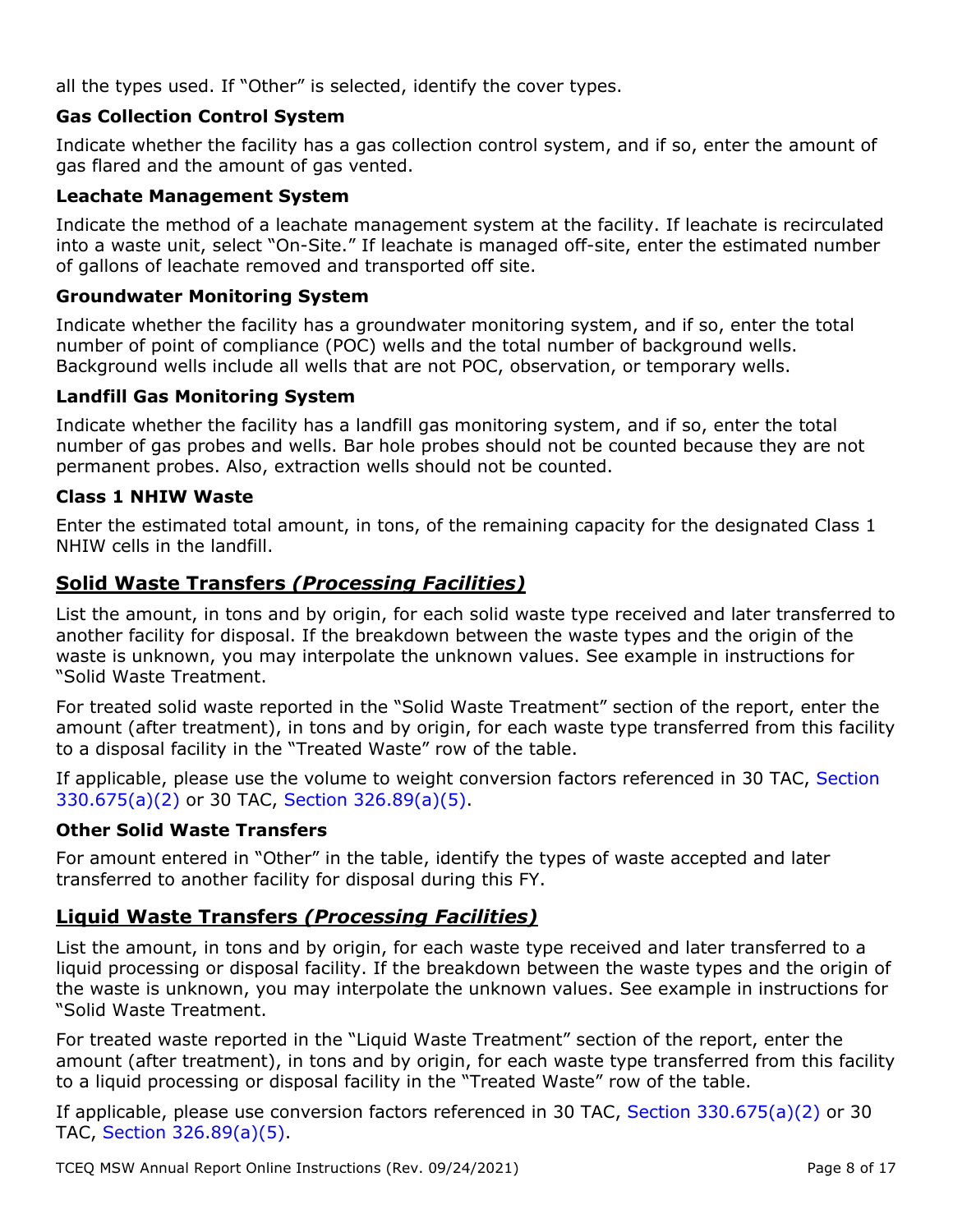all the types used. If "Other" is selected, identify the cover types.

## **Gas Collection Control System**

Indicate whether the facility has a gas collection control system, and if so, enter the amount of gas flared and the amount of gas vented.

## **Leachate Management System**

Indicate the method of a leachate management system at the facility. If leachate is recirculated into a waste unit, select "On-Site." If leachate is managed off-site, enter the estimated number of gallons of leachate removed and transported off site.

## **Groundwater Monitoring System**

Indicate whether the facility has a groundwater monitoring system, and if so, enter the total number of point of compliance (POC) wells and the total number of background wells. Background wells include all wells that are not POC, observation, or temporary wells.

## **Landfill Gas Monitoring System**

Indicate whether the facility has a landfill gas monitoring system, and if so, enter the total number of gas probes and wells. Bar hole probes should not be counted because they are not permanent probes. Also, extraction wells should not be counted.

## **Class 1 NHIW Waste**

Enter the estimated total amount, in tons, of the remaining capacity for the designated Class 1 NHIW cells in the landfill.

## **Solid Waste Transfers** *(Processing Facilities)*

List the amount, in tons and by origin, for each solid waste type received and later transferred to another facility for disposal. If the breakdown between the waste types and the origin of the waste is unknown, you may interpolate the unknown values. See example in instructions for "Solid Waste Treatment.

For treated solid waste reported in the "Solid Waste Treatment" section of the report, enter the amount (after treatment), in tons and by origin, for each waste type transferred from this facility to a disposal facility in the "Treated Waste" row of the table.

If applicable, please use the volume to weight conversion factors referenced in 30 TAC, [Section](https://texreg.sos.state.tx.us/public/readtac$ext.TacPage?sl=R&app=9&p_dir=&p_rloc=&p_tloc=&p_ploc=&pg=1&p_tac=&ti=30&pt=1&ch=330&rl=675) [330.675\(a\)\(2\)](https://texreg.sos.state.tx.us/public/readtac$ext.TacPage?sl=R&app=9&p_dir=&p_rloc=&p_tloc=&p_ploc=&pg=1&p_tac=&ti=30&pt=1&ch=330&rl=675) or 30 TAC, [Section 326.89\(a\)\(5\).](https://texreg.sos.state.tx.us/public/readtac$ext.TacPage?sl=R&app=9&p_dir=&p_rloc=&p_tloc=&p_ploc=&pg=1&p_tac=&ti=30&pt=1&ch=326&rl=89)

### **Other Solid Waste Transfers**

For amount entered in "Other" in the table, identify the types of waste accepted and later transferred to another facility for disposal during this FY.

## **Liquid Waste Transfers** *(Processing Facilities)*

List the amount, in tons and by origin, for each waste type received and later transferred to a liquid processing or disposal facility. If the breakdown between the waste types and the origin of the waste is unknown, you may interpolate the unknown values. See example in instructions for "Solid Waste Treatment.

For treated waste reported in the "Liquid Waste Treatment" section of the report, enter the amount (after treatment), in tons and by origin, for each waste type transferred from this facility to a liquid processing or disposal facility in the "Treated Waste" row of the table.

If applicable, please use conversion factors referenced in 30 TAC, [Section 330.675\(a\)\(2\)](https://texreg.sos.state.tx.us/public/readtac$ext.TacPage?sl=R&app=9&p_dir=&p_rloc=&p_tloc=&p_ploc=&pg=1&p_tac=&ti=30&pt=1&ch=330&rl=675) or 30 TAC, [Section 326.89\(a\)\(5\).](https://texreg.sos.state.tx.us/public/readtac$ext.TacPage?sl=R&app=9&p_dir=&p_rloc=&p_tloc=&p_ploc=&pg=1&p_tac=&ti=30&pt=1&ch=326&rl=89)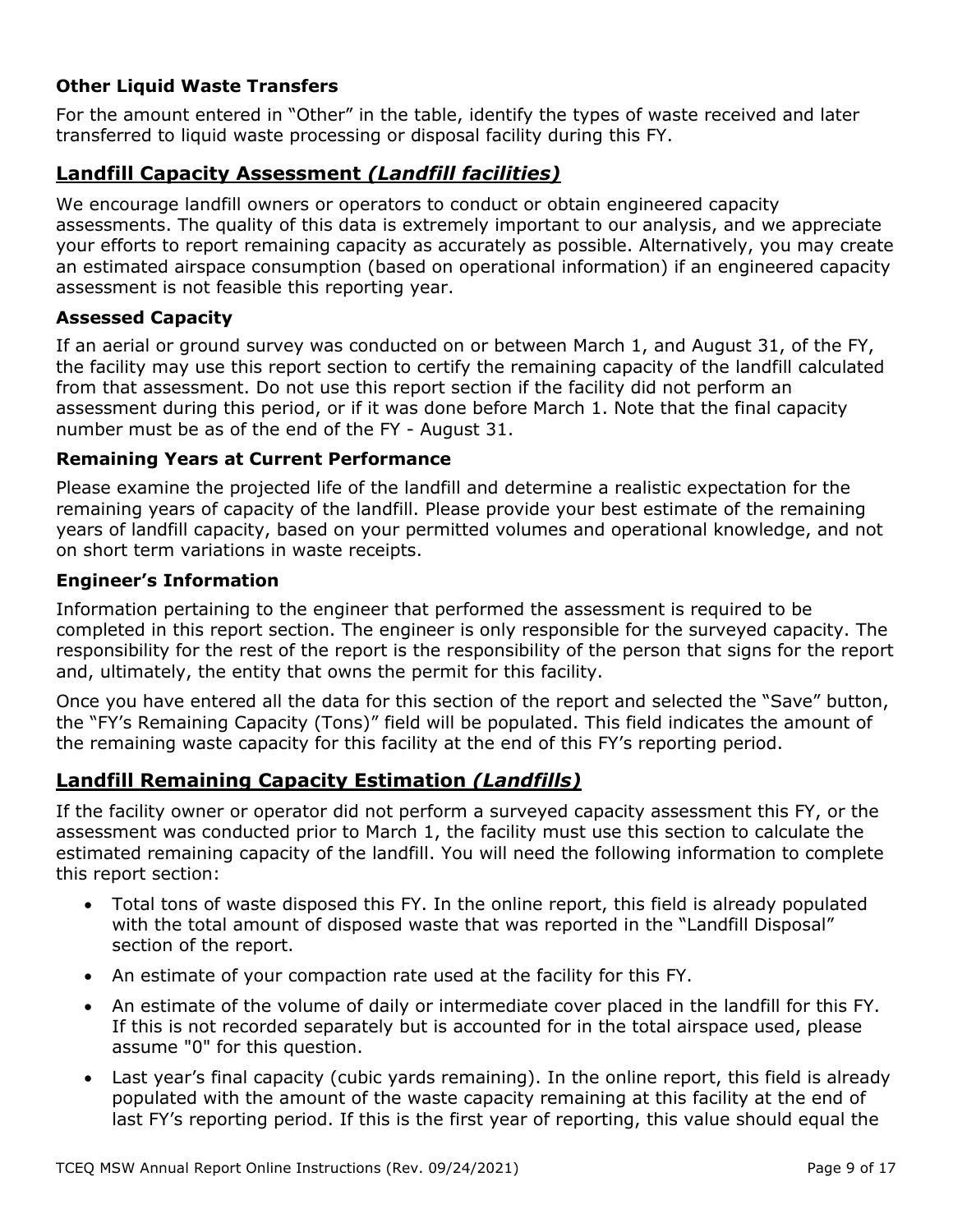## **Other Liquid Waste Transfers**

For the amount entered in "Other" in the table, identify the types of waste received and later transferred to liquid waste processing or disposal facility during this FY.

## **Landfill Capacity Assessment** *(Landfill facilities)*

We encourage landfill owners or operators to conduct or obtain engineered capacity assessments. The quality of this data is extremely important to our analysis, and we appreciate your efforts to report remaining capacity as accurately as possible. Alternatively, you may create an estimated airspace consumption (based on operational information) if an engineered capacity assessment is not feasible this reporting year.

## **Assessed Capacity**

If an aerial or ground survey was conducted on or between March 1, and August 31, of the FY, the facility may use this report section to certify the remaining capacity of the landfill calculated from that assessment. Do not use this report section if the facility did not perform an assessment during this period, or if it was done before March 1. Note that the final capacity number must be as of the end of the FY - August 31.

### **Remaining Years at Current Performance**

Please examine the projected life of the landfill and determine a realistic expectation for the remaining years of capacity of the landfill. Please provide your best estimate of the remaining years of landfill capacity, based on your permitted volumes and operational knowledge, and not on short term variations in waste receipts.

### **Engineer's Information**

Information pertaining to the engineer that performed the assessment is required to be completed in this report section. The engineer is only responsible for the surveyed capacity. The responsibility for the rest of the report is the responsibility of the person that signs for the report and, ultimately, the entity that owns the permit for this facility.

Once you have entered all the data for this section of the report and selected the "Save" button, the "FY's Remaining Capacity (Tons)" field will be populated. This field indicates the amount of the remaining waste capacity for this facility at the end of this FY's reporting period.

## **Landfill Remaining Capacity Estimation** *(Landfills)*

If the facility owner or operator did not perform a surveyed capacity assessment this FY, or the assessment was conducted prior to March 1, the facility must use this section to calculate the estimated remaining capacity of the landfill. You will need the following information to complete this report section:

- Total tons of waste disposed this FY. In the online report, this field is already populated with the total amount of disposed waste that was reported in the "Landfill Disposal" section of the report.
- An estimate of your compaction rate used at the facility for this FY.
- An estimate of the volume of daily or intermediate cover placed in the landfill for this FY. If this is not recorded separately but is accounted for in the total airspace used, please assume "0" for this question.
- Last year's final capacity (cubic yards remaining). In the online report, this field is already populated with the amount of the waste capacity remaining at this facility at the end of last FY's reporting period. If this is the first year of reporting, this value should equal the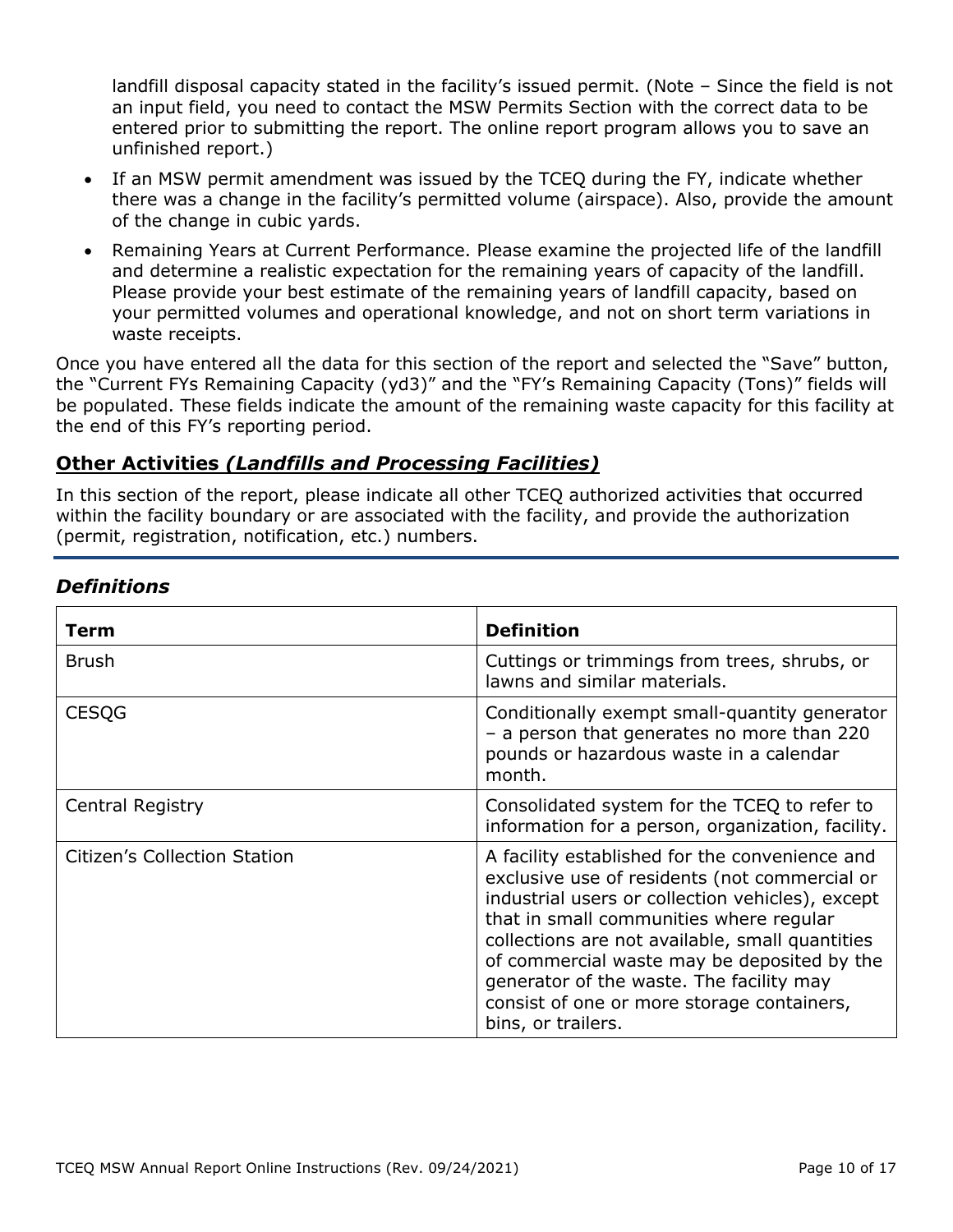landfill disposal capacity stated in the facility's issued permit. (Note – Since the field is not an input field, you need to contact the MSW Permits Section with the correct data to be entered prior to submitting the report. The online report program allows you to save an unfinished report.)

- If an MSW permit amendment was issued by the TCEQ during the FY, indicate whether there was a change in the facility's permitted volume (airspace). Also, provide the amount of the change in cubic yards.
- Remaining Years at Current Performance. Please examine the projected life of the landfill and determine a realistic expectation for the remaining years of capacity of the landfill. Please provide your best estimate of the remaining years of landfill capacity, based on your permitted volumes and operational knowledge, and not on short term variations in waste receipts.

Once you have entered all the data for this section of the report and selected the "Save" button, the "Current FYs Remaining Capacity (yd3)" and the "FY's Remaining Capacity (Tons)" fields will be populated. These fields indicate the amount of the remaining waste capacity for this facility at the end of this FY's reporting period.

## **Other Activities** *(Landfills and Processing Facilities)*

In this section of the report, please indicate all other TCEQ authorized activities that occurred within the facility boundary or are associated with the facility, and provide the authorization (permit, registration, notification, etc.) numbers.

| Term                                | <b>Definition</b>                                                                                                                                                                                                                                                                                                                                                                                                |
|-------------------------------------|------------------------------------------------------------------------------------------------------------------------------------------------------------------------------------------------------------------------------------------------------------------------------------------------------------------------------------------------------------------------------------------------------------------|
| Brush                               | Cuttings or trimmings from trees, shrubs, or<br>lawns and similar materials.                                                                                                                                                                                                                                                                                                                                     |
| <b>CESQG</b>                        | Conditionally exempt small-quantity generator<br>- a person that generates no more than 220<br>pounds or hazardous waste in a calendar<br>month.                                                                                                                                                                                                                                                                 |
| Central Registry                    | Consolidated system for the TCEQ to refer to<br>information for a person, organization, facility.                                                                                                                                                                                                                                                                                                                |
| <b>Citizen's Collection Station</b> | A facility established for the convenience and<br>exclusive use of residents (not commercial or<br>industrial users or collection vehicles), except<br>that in small communities where regular<br>collections are not available, small quantities<br>of commercial waste may be deposited by the<br>generator of the waste. The facility may<br>consist of one or more storage containers,<br>bins, or trailers. |

## *Definitions*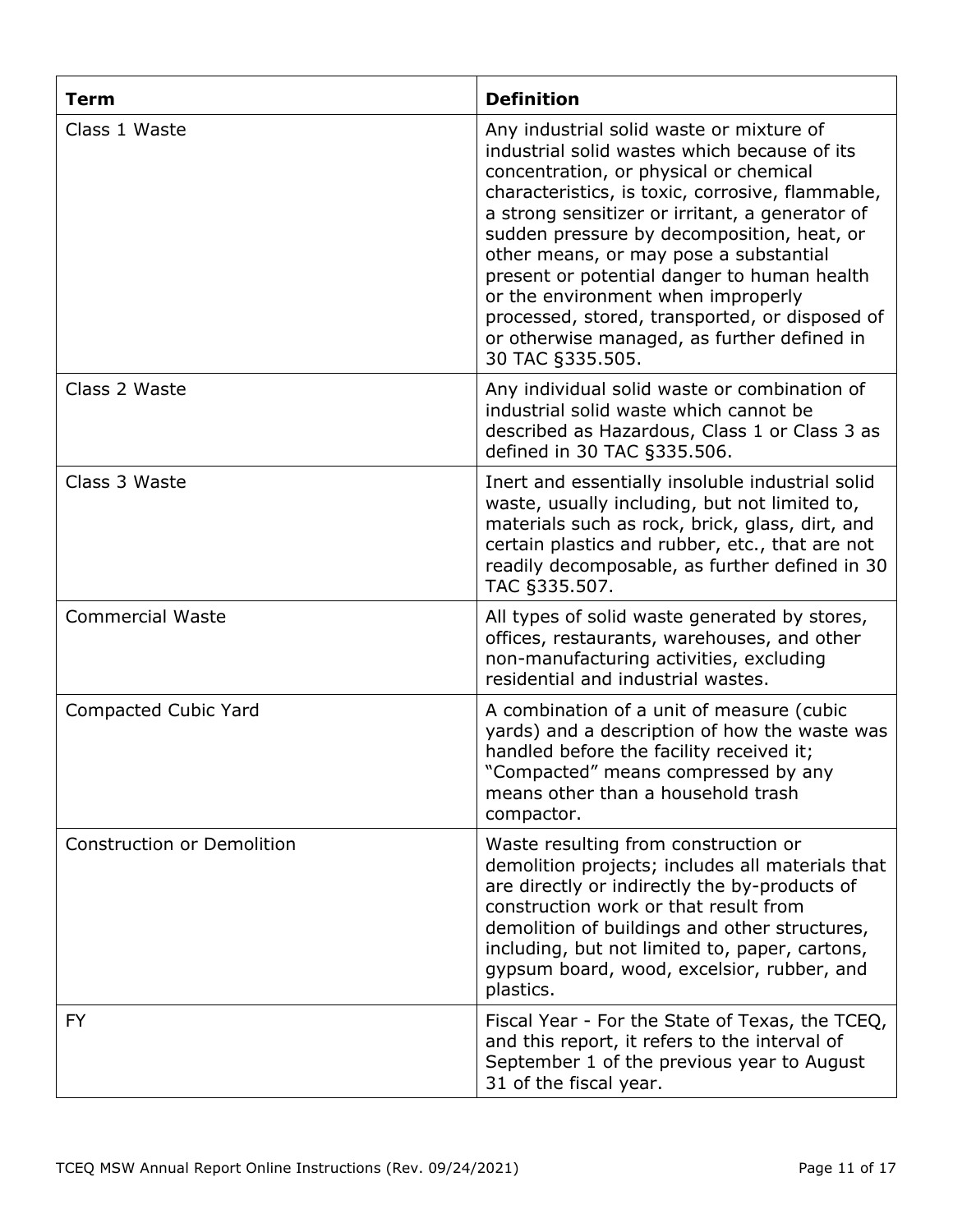| <b>Term</b>                       | <b>Definition</b>                                                                                                                                                                                                                                                                                                                                                                                                                                                                                                                           |
|-----------------------------------|---------------------------------------------------------------------------------------------------------------------------------------------------------------------------------------------------------------------------------------------------------------------------------------------------------------------------------------------------------------------------------------------------------------------------------------------------------------------------------------------------------------------------------------------|
| Class 1 Waste                     | Any industrial solid waste or mixture of<br>industrial solid wastes which because of its<br>concentration, or physical or chemical<br>characteristics, is toxic, corrosive, flammable,<br>a strong sensitizer or irritant, a generator of<br>sudden pressure by decomposition, heat, or<br>other means, or may pose a substantial<br>present or potential danger to human health<br>or the environment when improperly<br>processed, stored, transported, or disposed of<br>or otherwise managed, as further defined in<br>30 TAC §335.505. |
| Class 2 Waste                     | Any individual solid waste or combination of<br>industrial solid waste which cannot be<br>described as Hazardous, Class 1 or Class 3 as<br>defined in 30 TAC §335.506.                                                                                                                                                                                                                                                                                                                                                                      |
| Class 3 Waste                     | Inert and essentially insoluble industrial solid<br>waste, usually including, but not limited to,<br>materials such as rock, brick, glass, dirt, and<br>certain plastics and rubber, etc., that are not<br>readily decomposable, as further defined in 30<br>TAC §335.507.                                                                                                                                                                                                                                                                  |
| <b>Commercial Waste</b>           | All types of solid waste generated by stores,<br>offices, restaurants, warehouses, and other<br>non-manufacturing activities, excluding<br>residential and industrial wastes.                                                                                                                                                                                                                                                                                                                                                               |
| Compacted Cubic Yard              | A combination of a unit of measure (cubic<br>yards) and a description of how the waste was<br>handled before the facility received it;<br>"Compacted" means compressed by any<br>means other than a household trash<br>compactor.                                                                                                                                                                                                                                                                                                           |
| <b>Construction or Demolition</b> | Waste resulting from construction or<br>demolition projects; includes all materials that<br>are directly or indirectly the by-products of<br>construction work or that result from<br>demolition of buildings and other structures,<br>including, but not limited to, paper, cartons,<br>gypsum board, wood, excelsior, rubber, and<br>plastics.                                                                                                                                                                                            |
| FY                                | Fiscal Year - For the State of Texas, the TCEQ,<br>and this report, it refers to the interval of<br>September 1 of the previous year to August<br>31 of the fiscal year.                                                                                                                                                                                                                                                                                                                                                                    |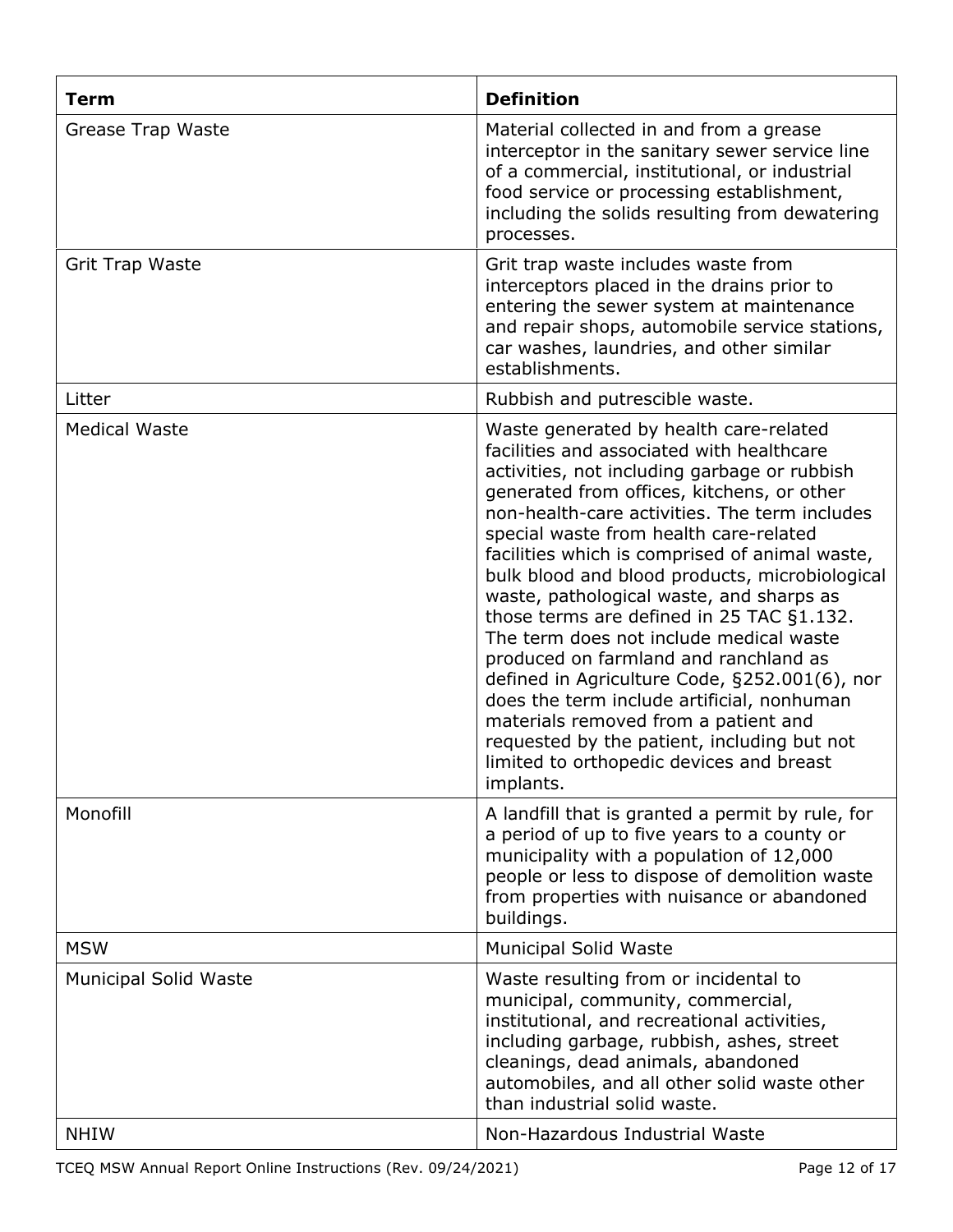| <b>Term</b>                  | <b>Definition</b>                                                                                                                                                                                                                                                                                                                                                                                                                                                                                                                                                                                                                                                                                                                                                                                            |
|------------------------------|--------------------------------------------------------------------------------------------------------------------------------------------------------------------------------------------------------------------------------------------------------------------------------------------------------------------------------------------------------------------------------------------------------------------------------------------------------------------------------------------------------------------------------------------------------------------------------------------------------------------------------------------------------------------------------------------------------------------------------------------------------------------------------------------------------------|
| Grease Trap Waste            | Material collected in and from a grease<br>interceptor in the sanitary sewer service line<br>of a commercial, institutional, or industrial<br>food service or processing establishment,<br>including the solids resulting from dewatering<br>processes.                                                                                                                                                                                                                                                                                                                                                                                                                                                                                                                                                      |
| <b>Grit Trap Waste</b>       | Grit trap waste includes waste from<br>interceptors placed in the drains prior to<br>entering the sewer system at maintenance<br>and repair shops, automobile service stations,<br>car washes, laundries, and other similar<br>establishments.                                                                                                                                                                                                                                                                                                                                                                                                                                                                                                                                                               |
| Litter                       | Rubbish and putrescible waste.                                                                                                                                                                                                                                                                                                                                                                                                                                                                                                                                                                                                                                                                                                                                                                               |
| <b>Medical Waste</b>         | Waste generated by health care-related<br>facilities and associated with healthcare<br>activities, not including garbage or rubbish<br>generated from offices, kitchens, or other<br>non-health-care activities. The term includes<br>special waste from health care-related<br>facilities which is comprised of animal waste,<br>bulk blood and blood products, microbiological<br>waste, pathological waste, and sharps as<br>those terms are defined in 25 TAC §1.132.<br>The term does not include medical waste<br>produced on farmland and ranchland as<br>defined in Agriculture Code, §252.001(6), nor<br>does the term include artificial, nonhuman<br>materials removed from a patient and<br>requested by the patient, including but not<br>limited to orthopedic devices and breast<br>implants. |
| Monofill                     | A landfill that is granted a permit by rule, for<br>a period of up to five years to a county or<br>municipality with a population of 12,000<br>people or less to dispose of demolition waste<br>from properties with nuisance or abandoned<br>buildings.                                                                                                                                                                                                                                                                                                                                                                                                                                                                                                                                                     |
| <b>MSW</b>                   | <b>Municipal Solid Waste</b>                                                                                                                                                                                                                                                                                                                                                                                                                                                                                                                                                                                                                                                                                                                                                                                 |
| <b>Municipal Solid Waste</b> | Waste resulting from or incidental to<br>municipal, community, commercial,<br>institutional, and recreational activities,<br>including garbage, rubbish, ashes, street<br>cleanings, dead animals, abandoned<br>automobiles, and all other solid waste other<br>than industrial solid waste.                                                                                                                                                                                                                                                                                                                                                                                                                                                                                                                 |
| <b>NHIW</b>                  | Non-Hazardous Industrial Waste                                                                                                                                                                                                                                                                                                                                                                                                                                                                                                                                                                                                                                                                                                                                                                               |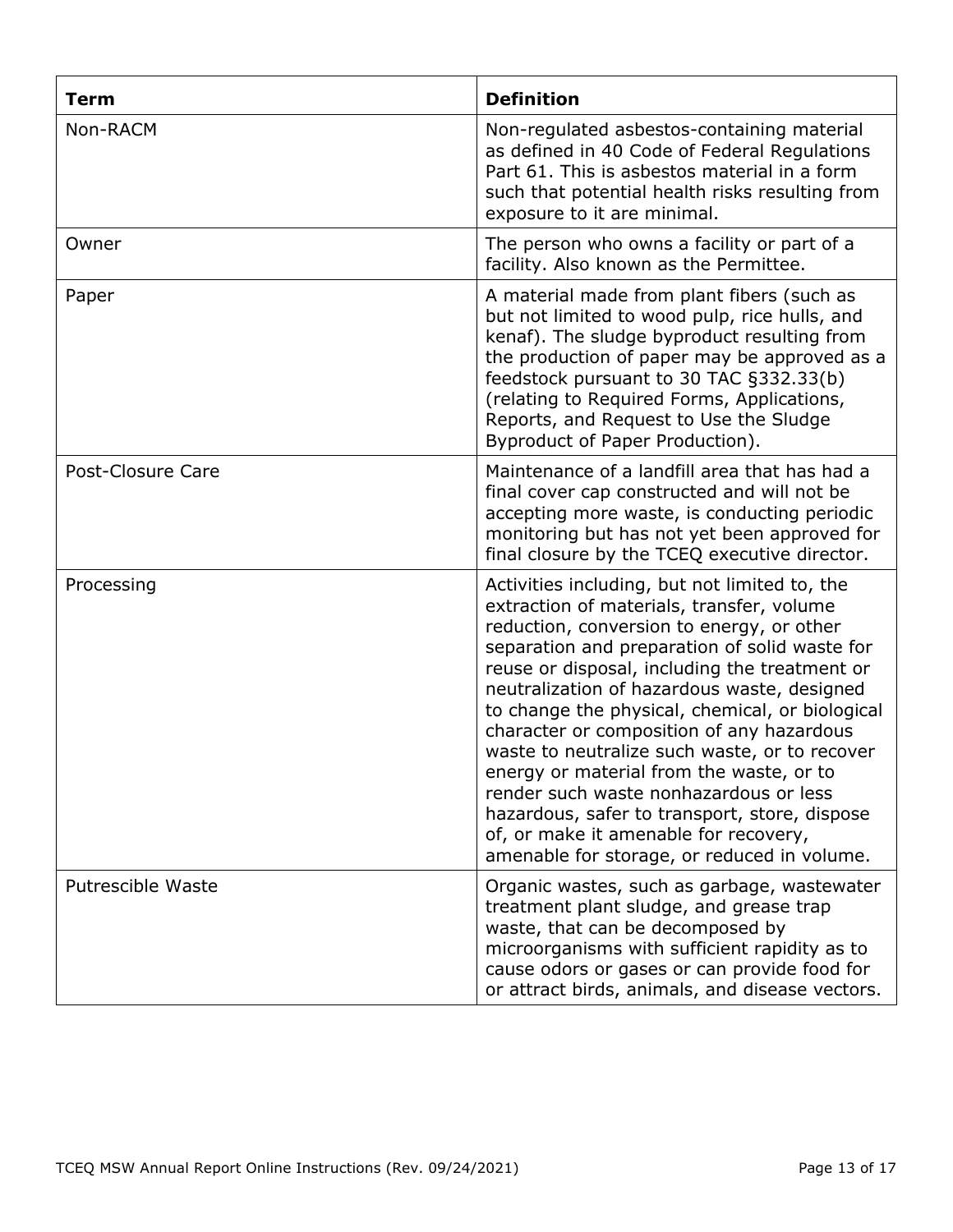| <b>Term</b>              | <b>Definition</b>                                                                                                                                                                                                                                                                                                                                                                                                                                                                                                                                                                                                                                                        |
|--------------------------|--------------------------------------------------------------------------------------------------------------------------------------------------------------------------------------------------------------------------------------------------------------------------------------------------------------------------------------------------------------------------------------------------------------------------------------------------------------------------------------------------------------------------------------------------------------------------------------------------------------------------------------------------------------------------|
| Non-RACM                 | Non-regulated asbestos-containing material<br>as defined in 40 Code of Federal Regulations<br>Part 61. This is asbestos material in a form<br>such that potential health risks resulting from<br>exposure to it are minimal.                                                                                                                                                                                                                                                                                                                                                                                                                                             |
| Owner                    | The person who owns a facility or part of a<br>facility. Also known as the Permittee.                                                                                                                                                                                                                                                                                                                                                                                                                                                                                                                                                                                    |
| Paper                    | A material made from plant fibers (such as<br>but not limited to wood pulp, rice hulls, and<br>kenaf). The sludge byproduct resulting from<br>the production of paper may be approved as a<br>feedstock pursuant to 30 TAC §332.33(b)<br>(relating to Required Forms, Applications,<br>Reports, and Request to Use the Sludge<br>Byproduct of Paper Production).                                                                                                                                                                                                                                                                                                         |
| Post-Closure Care        | Maintenance of a landfill area that has had a<br>final cover cap constructed and will not be<br>accepting more waste, is conducting periodic<br>monitoring but has not yet been approved for<br>final closure by the TCEQ executive director.                                                                                                                                                                                                                                                                                                                                                                                                                            |
| Processing               | Activities including, but not limited to, the<br>extraction of materials, transfer, volume<br>reduction, conversion to energy, or other<br>separation and preparation of solid waste for<br>reuse or disposal, including the treatment or<br>neutralization of hazardous waste, designed<br>to change the physical, chemical, or biological<br>character or composition of any hazardous<br>waste to neutralize such waste, or to recover<br>energy or material from the waste, or to<br>render such waste nonhazardous or less<br>hazardous, safer to transport, store, dispose<br>of, or make it amenable for recovery,<br>amenable for storage, or reduced in volume. |
| <b>Putrescible Waste</b> | Organic wastes, such as garbage, wastewater<br>treatment plant sludge, and grease trap<br>waste, that can be decomposed by<br>microorganisms with sufficient rapidity as to<br>cause odors or gases or can provide food for<br>or attract birds, animals, and disease vectors.                                                                                                                                                                                                                                                                                                                                                                                           |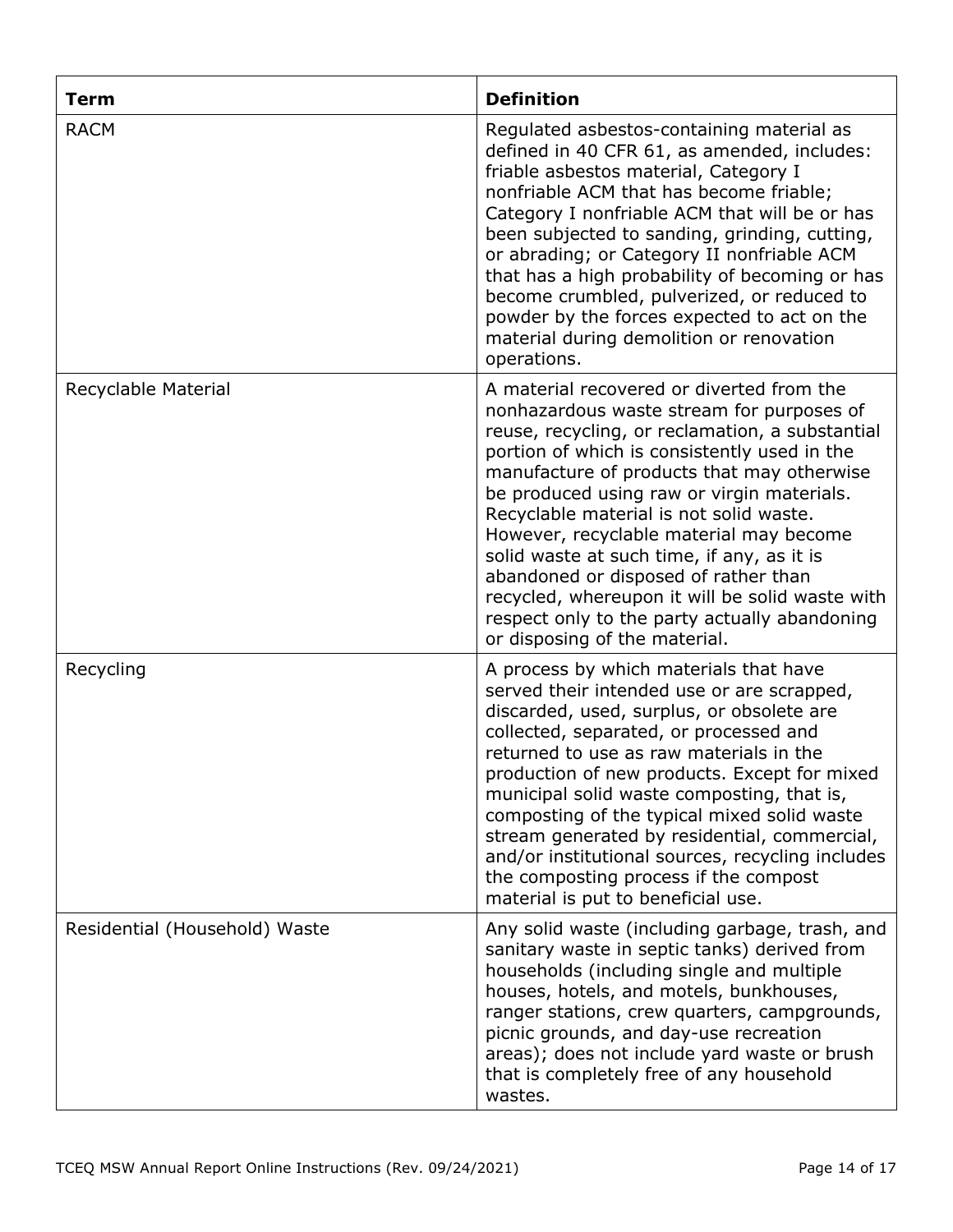| <b>Term</b>                   | <b>Definition</b>                                                                                                                                                                                                                                                                                                                                                                                                                                                                                                                                                                                      |
|-------------------------------|--------------------------------------------------------------------------------------------------------------------------------------------------------------------------------------------------------------------------------------------------------------------------------------------------------------------------------------------------------------------------------------------------------------------------------------------------------------------------------------------------------------------------------------------------------------------------------------------------------|
| <b>RACM</b>                   | Regulated asbestos-containing material as<br>defined in 40 CFR 61, as amended, includes:<br>friable asbestos material, Category I<br>nonfriable ACM that has become friable;<br>Category I nonfriable ACM that will be or has<br>been subjected to sanding, grinding, cutting,<br>or abrading; or Category II nonfriable ACM<br>that has a high probability of becoming or has<br>become crumbled, pulverized, or reduced to<br>powder by the forces expected to act on the<br>material during demolition or renovation<br>operations.                                                                 |
| Recyclable Material           | A material recovered or diverted from the<br>nonhazardous waste stream for purposes of<br>reuse, recycling, or reclamation, a substantial<br>portion of which is consistently used in the<br>manufacture of products that may otherwise<br>be produced using raw or virgin materials.<br>Recyclable material is not solid waste.<br>However, recyclable material may become<br>solid waste at such time, if any, as it is<br>abandoned or disposed of rather than<br>recycled, whereupon it will be solid waste with<br>respect only to the party actually abandoning<br>or disposing of the material. |
| Recycling                     | A process by which materials that have<br>served their intended use or are scrapped,<br>discarded, used, surplus, or obsolete are<br>collected, separated, or processed and<br>returned to use as raw materials in the<br>production of new products. Except for mixed<br>municipal solid waste composting, that is,<br>composting of the typical mixed solid waste<br>stream generated by residential, commercial,<br>and/or institutional sources, recycling includes<br>the composting process if the compost<br>material is put to beneficial use.                                                 |
| Residential (Household) Waste | Any solid waste (including garbage, trash, and<br>sanitary waste in septic tanks) derived from<br>households (including single and multiple<br>houses, hotels, and motels, bunkhouses,<br>ranger stations, crew quarters, campgrounds,<br>picnic grounds, and day-use recreation<br>areas); does not include yard waste or brush<br>that is completely free of any household<br>wastes.                                                                                                                                                                                                                |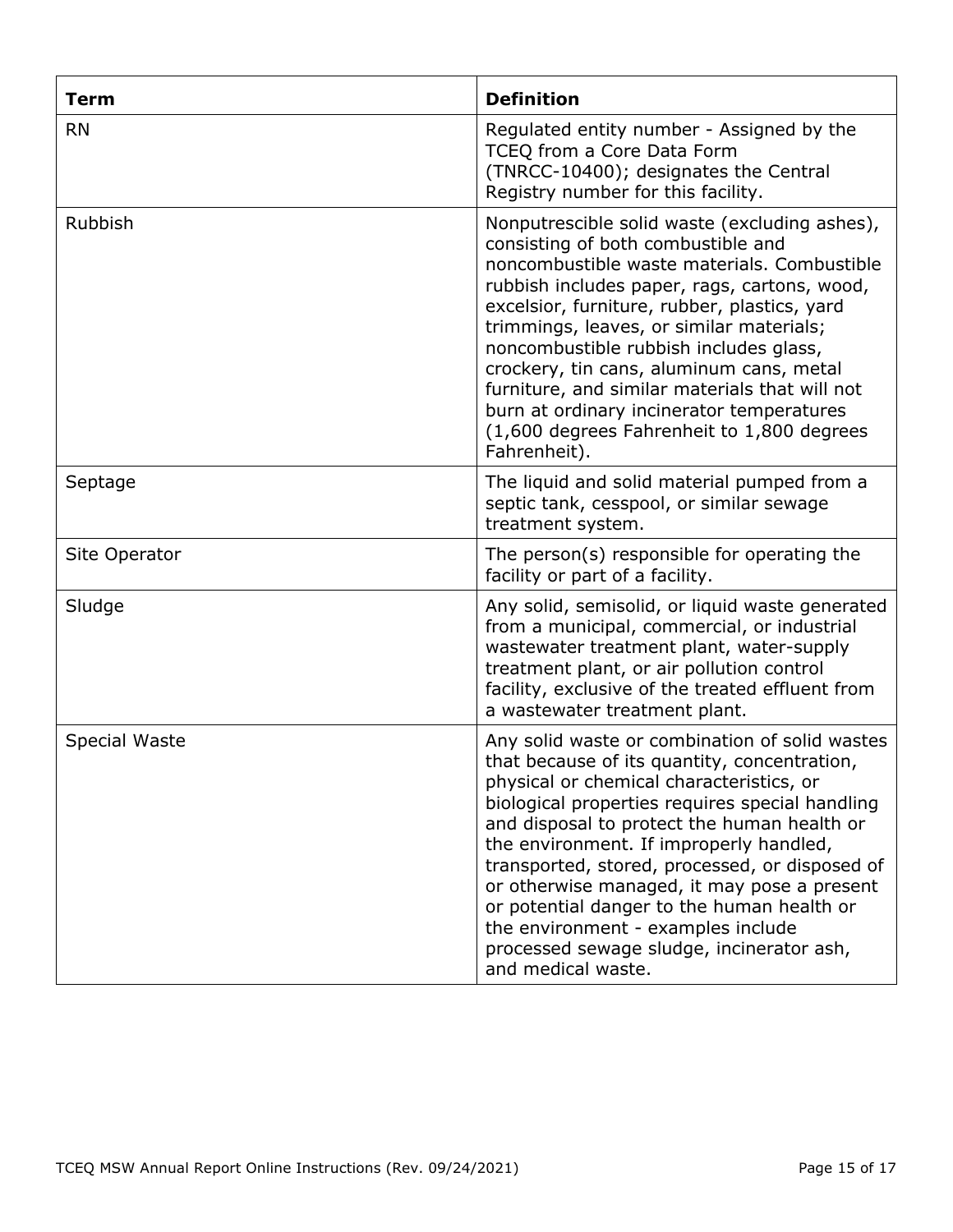| <b>Term</b>   | <b>Definition</b>                                                                                                                                                                                                                                                                                                                                                                                                                                                                                                                               |
|---------------|-------------------------------------------------------------------------------------------------------------------------------------------------------------------------------------------------------------------------------------------------------------------------------------------------------------------------------------------------------------------------------------------------------------------------------------------------------------------------------------------------------------------------------------------------|
| <b>RN</b>     | Regulated entity number - Assigned by the<br>TCEQ from a Core Data Form<br>(TNRCC-10400); designates the Central<br>Registry number for this facility.                                                                                                                                                                                                                                                                                                                                                                                          |
| Rubbish       | Nonputrescible solid waste (excluding ashes),<br>consisting of both combustible and<br>noncombustible waste materials. Combustible<br>rubbish includes paper, rags, cartons, wood,<br>excelsior, furniture, rubber, plastics, yard<br>trimmings, leaves, or similar materials;<br>noncombustible rubbish includes glass,<br>crockery, tin cans, aluminum cans, metal<br>furniture, and similar materials that will not<br>burn at ordinary incinerator temperatures<br>(1,600 degrees Fahrenheit to 1,800 degrees<br>Fahrenheit).               |
| Septage       | The liquid and solid material pumped from a<br>septic tank, cesspool, or similar sewage<br>treatment system.                                                                                                                                                                                                                                                                                                                                                                                                                                    |
| Site Operator | The person(s) responsible for operating the<br>facility or part of a facility.                                                                                                                                                                                                                                                                                                                                                                                                                                                                  |
| Sludge        | Any solid, semisolid, or liquid waste generated<br>from a municipal, commercial, or industrial<br>wastewater treatment plant, water-supply<br>treatment plant, or air pollution control<br>facility, exclusive of the treated effluent from<br>a wastewater treatment plant.                                                                                                                                                                                                                                                                    |
| Special Waste | Any solid waste or combination of solid wastes<br>that because of its quantity, concentration,<br>physical or chemical characteristics, or<br>biological properties requires special handling<br>and disposal to protect the human health or<br>the environment. If improperly handled,<br>transported, stored, processed, or disposed of<br>or otherwise managed, it may pose a present<br>or potential danger to the human health or<br>the environment - examples include<br>processed sewage sludge, incinerator ash,<br>and medical waste. |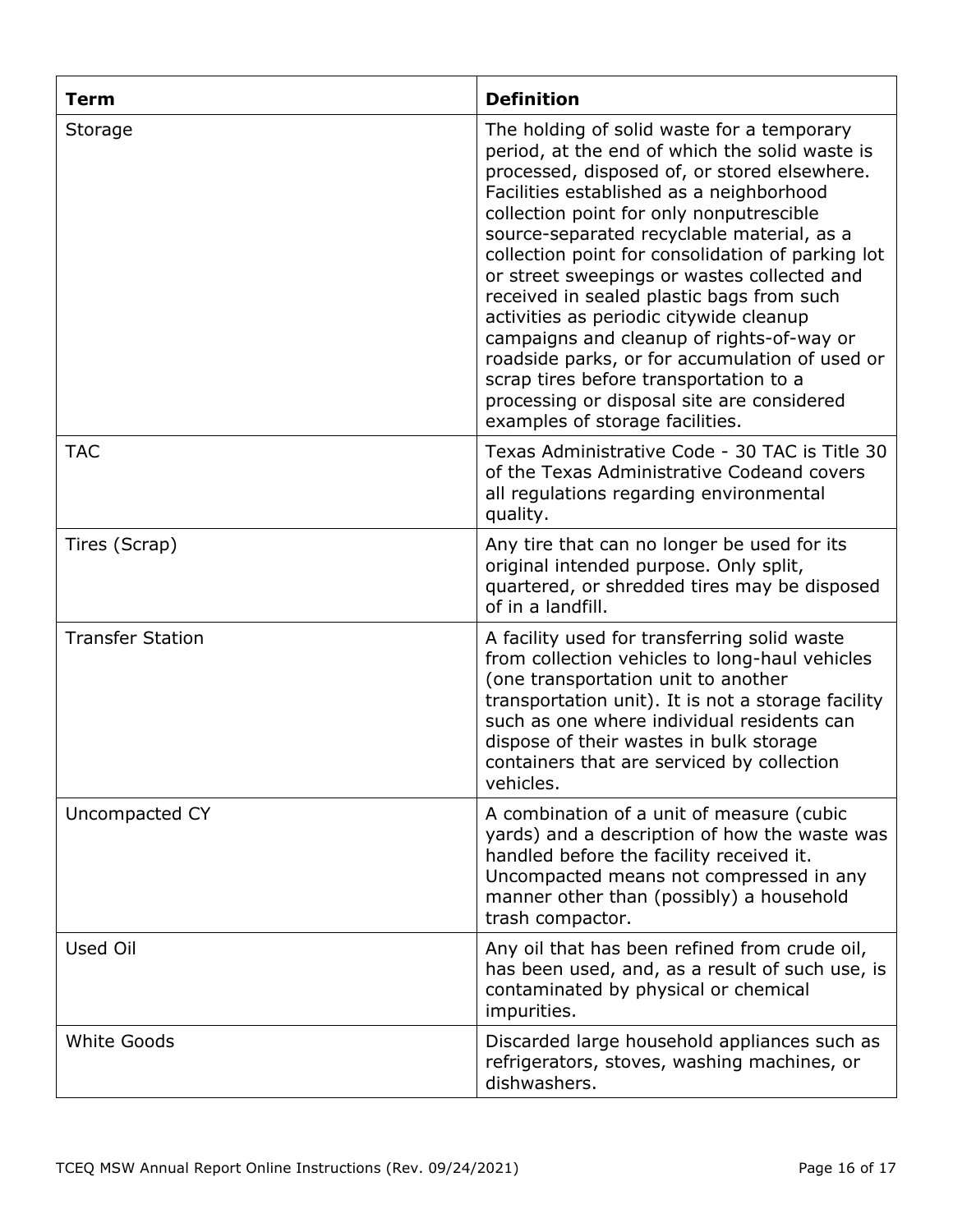| <b>Term</b>             | <b>Definition</b>                                                                                                                                                                                                                                                                                                                                                                                                                                                                                                                                                                                                                                                                                        |
|-------------------------|----------------------------------------------------------------------------------------------------------------------------------------------------------------------------------------------------------------------------------------------------------------------------------------------------------------------------------------------------------------------------------------------------------------------------------------------------------------------------------------------------------------------------------------------------------------------------------------------------------------------------------------------------------------------------------------------------------|
| Storage                 | The holding of solid waste for a temporary<br>period, at the end of which the solid waste is<br>processed, disposed of, or stored elsewhere.<br>Facilities established as a neighborhood<br>collection point for only nonputrescible<br>source-separated recyclable material, as a<br>collection point for consolidation of parking lot<br>or street sweepings or wastes collected and<br>received in sealed plastic bags from such<br>activities as periodic citywide cleanup<br>campaigns and cleanup of rights-of-way or<br>roadside parks, or for accumulation of used or<br>scrap tires before transportation to a<br>processing or disposal site are considered<br>examples of storage facilities. |
| <b>TAC</b>              | Texas Administrative Code - 30 TAC is Title 30<br>of the Texas Administrative Codeand covers<br>all regulations regarding environmental<br>quality.                                                                                                                                                                                                                                                                                                                                                                                                                                                                                                                                                      |
| Tires (Scrap)           | Any tire that can no longer be used for its<br>original intended purpose. Only split,<br>quartered, or shredded tires may be disposed<br>of in a landfill.                                                                                                                                                                                                                                                                                                                                                                                                                                                                                                                                               |
| <b>Transfer Station</b> | A facility used for transferring solid waste<br>from collection vehicles to long-haul vehicles<br>(one transportation unit to another<br>transportation unit). It is not a storage facility<br>such as one where individual residents can<br>dispose of their wastes in bulk storage<br>containers that are serviced by collection<br>vehicles.                                                                                                                                                                                                                                                                                                                                                          |
| Uncompacted CY          | A combination of a unit of measure (cubic<br>yards) and a description of how the waste was<br>handled before the facility received it.<br>Uncompacted means not compressed in any<br>manner other than (possibly) a household<br>trash compactor.                                                                                                                                                                                                                                                                                                                                                                                                                                                        |
| Used Oil                | Any oil that has been refined from crude oil,<br>has been used, and, as a result of such use, is<br>contaminated by physical or chemical<br>impurities.                                                                                                                                                                                                                                                                                                                                                                                                                                                                                                                                                  |
| <b>White Goods</b>      | Discarded large household appliances such as<br>refrigerators, stoves, washing machines, or<br>dishwashers.                                                                                                                                                                                                                                                                                                                                                                                                                                                                                                                                                                                              |